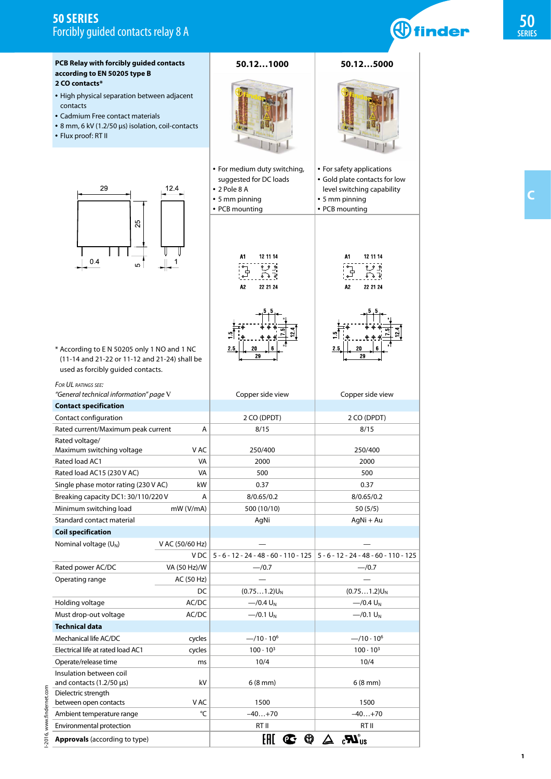# **50 SERIES** Forcibly guided contacts relay 8 A

| PCB Relay with forcibly guided contacts<br>according to EN 50205 type B                                                                                                                   |                 | 50.121000                                                                                                              | 50.125000                                                                                                                    |  |
|-------------------------------------------------------------------------------------------------------------------------------------------------------------------------------------------|-----------------|------------------------------------------------------------------------------------------------------------------------|------------------------------------------------------------------------------------------------------------------------------|--|
| 2 CO contacts*<br>• High physical separation between adjacent<br>contacts<br>• Cadmium Free contact materials<br>• 8 mm, 6 kV (1.2/50 µs) isolation, coil-contacts<br>• Flux proof: RT II |                 |                                                                                                                        |                                                                                                                              |  |
| 29<br>12.4<br>25<br>0.4<br>5<br>* According to E N 50205 only 1 NO and 1 NC<br>(11-14 and 21-22 or 11-12 and 21-24) shall be<br>used as forcibly guided contacts.                         |                 | • For medium duty switching,<br>suggested for DC loads<br>$\cdot$ 2 Pole 8 A<br>$\cdot$ 5 mm pinning<br>• PCB mounting | • For safety applications<br>• Gold plate contacts for low<br>level switching capability<br>• 5 mm pinning<br>• PCB mounting |  |
|                                                                                                                                                                                           |                 | 12 11 14<br>A1<br>بو وع<br>L 2.<br>A <sub>2</sub><br>22 21 24                                                          | 12 11 14<br>Α1<br>ٻو وع<br>ি ১ কু<br>১<br>22 21 24<br>A2                                                                     |  |
|                                                                                                                                                                                           |                 | 2.5<br>20<br>29                                                                                                        | 2.5<br>20<br>29                                                                                                              |  |
| FOR UL RATINGS SEE:                                                                                                                                                                       |                 |                                                                                                                        |                                                                                                                              |  |
| "General technical information" page V<br><b>Contact specification</b>                                                                                                                    |                 | Copper side view                                                                                                       | Copper side view                                                                                                             |  |
| Contact configuration                                                                                                                                                                     |                 | 2 CO (DPDT)                                                                                                            | 2 CO (DPDT)                                                                                                                  |  |
| Rated current/Maximum peak current                                                                                                                                                        | Α               | 8/15                                                                                                                   | 8/15                                                                                                                         |  |
| Rated voltage/                                                                                                                                                                            |                 |                                                                                                                        |                                                                                                                              |  |
| Maximum switching voltage<br>Rated load AC1                                                                                                                                               | V AC<br>VA      | 250/400<br>2000                                                                                                        | 250/400<br>2000                                                                                                              |  |
| Rated load AC15 (230 V AC)                                                                                                                                                                | VA              | 500                                                                                                                    | 500                                                                                                                          |  |
| Single phase motor rating (230 V AC)                                                                                                                                                      | kW              | 0.37                                                                                                                   | 0.37                                                                                                                         |  |
| Breaking capacity DC1: 30/110/220 V                                                                                                                                                       | A               | 8/0.65/0.2                                                                                                             | 8/0.65/0.2                                                                                                                   |  |
| Minimum switching load                                                                                                                                                                    | mW (V/mA)       | 500 (10/10)                                                                                                            | 50(5/5)                                                                                                                      |  |
| Standard contact material                                                                                                                                                                 |                 | AgNi                                                                                                                   | AgNi + Au                                                                                                                    |  |
| <b>Coil specification</b>                                                                                                                                                                 |                 |                                                                                                                        |                                                                                                                              |  |
| Nominal voltage $(U_N)$                                                                                                                                                                   | V AC (50/60 Hz) |                                                                                                                        |                                                                                                                              |  |
|                                                                                                                                                                                           | V DC            | $5 - 6 - 12 - 24 - 48 - 60 - 110 - 125$                                                                                | $5 - 6 - 12 - 24 - 48 - 60 - 110 - 125$                                                                                      |  |
| Rated power AC/DC                                                                                                                                                                         | VA (50 Hz)/W    | $-$ /0.7                                                                                                               | $-$ /0.7                                                                                                                     |  |
| Operating range                                                                                                                                                                           | AC (50 Hz)      |                                                                                                                        |                                                                                                                              |  |
|                                                                                                                                                                                           | DC              | $(0.751.2)U_N$                                                                                                         | $(0.751.2)U_N$                                                                                                               |  |
| Holding voltage                                                                                                                                                                           | AC/DC           | $-$ /0.4 U <sub>N</sub>                                                                                                | $-$ /0.4 U <sub>N</sub>                                                                                                      |  |
| Must drop-out voltage<br>AC/DC<br><b>Technical data</b>                                                                                                                                   |                 | $-$ /0.1 U <sub>N</sub>                                                                                                | $-$ /0.1 U <sub>N</sub>                                                                                                      |  |
| Mechanical life AC/DC                                                                                                                                                                     | cycles          | $-$ /10 · 10 <sup>6</sup>                                                                                              | $-$ /10 $\cdot$ 10 <sup>6</sup>                                                                                              |  |
| Electrical life at rated load AC1                                                                                                                                                         | cycles          | $100 \cdot 10^{3}$                                                                                                     | $100 \cdot 10^{3}$                                                                                                           |  |
| Operate/release time                                                                                                                                                                      | ms              | 10/4                                                                                                                   | 10/4                                                                                                                         |  |
| Insulation between coil<br>and contacts $(1.2/50 \,\mu s)$                                                                                                                                | kV              | $6(8 \text{ mm})$                                                                                                      | $6(8 \text{ mm})$                                                                                                            |  |
| Dielectric strength                                                                                                                                                                       | V AC            | 1500                                                                                                                   | 1500                                                                                                                         |  |
| between open contacts<br>Ambient temperature range                                                                                                                                        | °C              | $-40+70$                                                                                                               | $-40+70$                                                                                                                     |  |
| Environmental protection                                                                                                                                                                  |                 | RT II                                                                                                                  | RT II                                                                                                                        |  |
| <b>Approvals</b> (according to type)                                                                                                                                                      |                 | $\mathbf{C}$ $\mathbf{\Phi}$ $\mathbf{\Delta}$<br>EAC                                                                  | $_{\rm c}$ $\boldsymbol{R}_{\rm 0}$                                                                                          |  |

**1**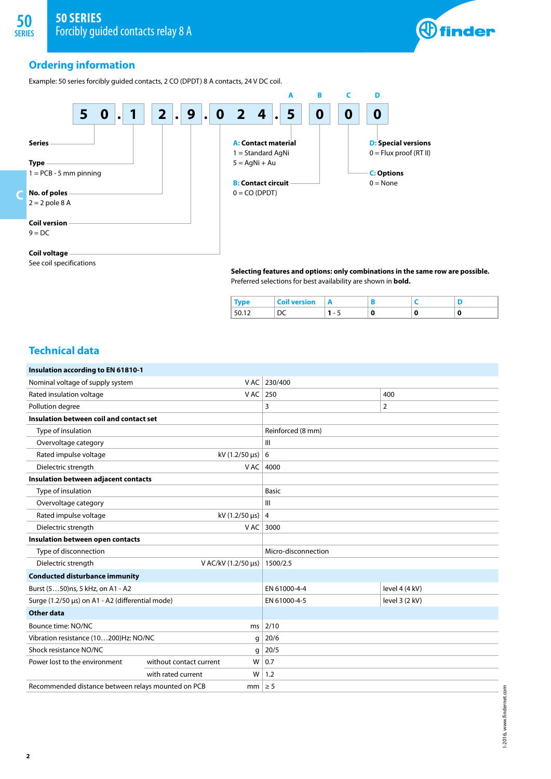

I-2016, www.findernet.com

I-2016, www.findernet.com

## **Ordering information**

**SERIES** 

Example: 50 series forcibly guided contacts, 2 CO (DPDT) 8 A contacts, 24 V DC coil.



## **Coil voltage**

See coil specifications

**Selecting features and options: only combinations in the same row are possible.** Preferred selections for best availability are shown in **bold.**

|  | version | n<br>. .                 |            |        |   |
|--|---------|--------------------------|------------|--------|---|
|  | __      | $\overline{\phantom{a}}$ | <br>$\sim$ | $\sim$ | w |

## **Technical data**

**2**

| Insulation according to EN 61810-1                            |                         |                     |                |  |  |  |
|---------------------------------------------------------------|-------------------------|---------------------|----------------|--|--|--|
| Nominal voltage of supply system                              | V AC                    | 230/400             |                |  |  |  |
| Rated insulation voltage                                      | V AC                    | 250<br>400          |                |  |  |  |
| Pollution degree                                              |                         | 3                   | $\overline{2}$ |  |  |  |
| Insulation between coil and contact set                       |                         |                     |                |  |  |  |
| Type of insulation                                            |                         | Reinforced (8 mm)   |                |  |  |  |
| Overvoltage category                                          |                         | Ш                   |                |  |  |  |
| Rated impulse voltage                                         | $kV$ (1.2/50 $\mu s$ )  | 6                   |                |  |  |  |
| Dielectric strength                                           | V AC                    | 4000                |                |  |  |  |
| Insulation between adjacent contacts                          |                         |                     |                |  |  |  |
| Type of insulation                                            |                         | <b>Basic</b>        |                |  |  |  |
| Overvoltage category                                          |                         | $\mathbf{III}$      |                |  |  |  |
| Rated impulse voltage                                         | kV $(1.2/50 \,\mu s)$   | 4                   |                |  |  |  |
| Dielectric strength                                           | V AC                    | 3000                |                |  |  |  |
| Insulation between open contacts                              |                         |                     |                |  |  |  |
| Type of disconnection                                         |                         | Micro-disconnection |                |  |  |  |
| Dielectric strength                                           | V AC/kV (1.2/50 µs)     | 1500/2.5            |                |  |  |  |
| <b>Conducted disturbance immunity</b>                         |                         |                     |                |  |  |  |
| Burst (550)ns, 5 kHz, on A1 - A2                              |                         | EN 61000-4-4        | level 4 (4 kV) |  |  |  |
| Surge (1.2/50 µs) on A1 - A2 (differential mode)              |                         | EN 61000-4-5        | level 3 (2 kV) |  |  |  |
| Other data                                                    |                         |                     |                |  |  |  |
| Bounce time: NO/NC                                            | ms                      | 2/10                |                |  |  |  |
| Vibration resistance (10200) Hz: NO/NC                        | g                       | 20/6                |                |  |  |  |
| Shock resistance NO/NC                                        | g                       | 20/5                |                |  |  |  |
| Power lost to the environment<br>without contact current<br>W |                         | 0.7                 |                |  |  |  |
|                                                               | with rated current<br>W | 1.2                 |                |  |  |  |
| Recommended distance between relays mounted on PCB            | mm <sub>1</sub>         | $\geq 5$            |                |  |  |  |
|                                                               |                         |                     |                |  |  |  |